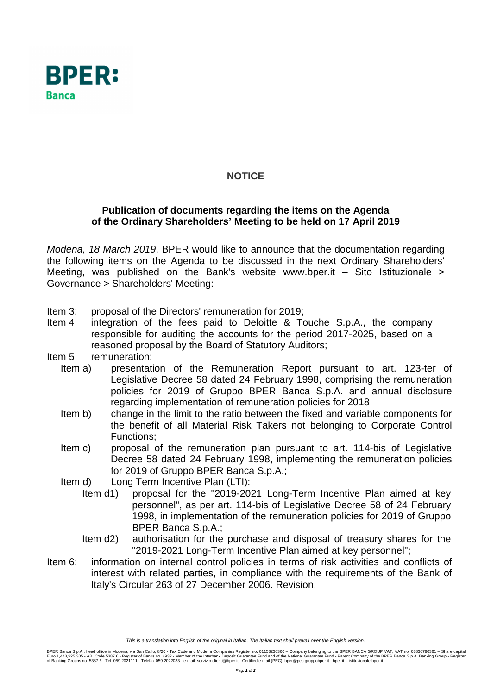

## **NOTICE**

## **Publication of documents regarding the items on the Agenda of the Ordinary Shareholders' Meeting to be held on 17 April 2019**

Modena, 18 March 2019. BPER would like to announce that the documentation regarding the following items on the Agenda to be discussed in the next Ordinary Shareholders' Meeting, was published on the Bank's website www.bper.it  $-$  Sito Istituzionale  $\ge$ Governance > Shareholders' Meeting:

- Item 3: proposal of the Directors' remuneration for 2019;
- Item 4 integration of the fees paid to Deloitte & Touche S.p.A., the company responsible for auditing the accounts for the period 2017-2025, based on a reasoned proposal by the Board of Statutory Auditors;
- Item 5 remuneration:
	- Item a) presentation of the Remuneration Report pursuant to art. 123-ter of Legislative Decree 58 dated 24 February 1998, comprising the remuneration policies for 2019 of Gruppo BPER Banca S.p.A. and annual disclosure regarding implementation of remuneration policies for 2018
	- Item b) change in the limit to the ratio between the fixed and variable components for the benefit of all Material Risk Takers not belonging to Corporate Control Functions;
	- Item c) proposal of the remuneration plan pursuant to art. 114-bis of Legislative Decree 58 dated 24 February 1998, implementing the remuneration policies for 2019 of Gruppo BPER Banca S.p.A.;
	- Item d) Long Term Incentive Plan (LTI):
		- Item d1) proposal for the "2019-2021 Long-Term Incentive Plan aimed at key personnel", as per art. 114-bis of Legislative Decree 58 of 24 February 1998, in implementation of the remuneration policies for 2019 of Gruppo BPER Banca S.p.A.;
		- Item d2) authorisation for the purchase and disposal of treasury shares for the "2019-2021 Long-Term Incentive Plan aimed at key personnel";
- Item 6: information on internal control policies in terms of risk activities and conflicts of interest with related parties, in compliance with the requirements of the Bank of Italy's Circular 263 of 27 December 2006. Revision.

This is a translation into English of the original in Italian. The Italian text shall prevail over the English version.